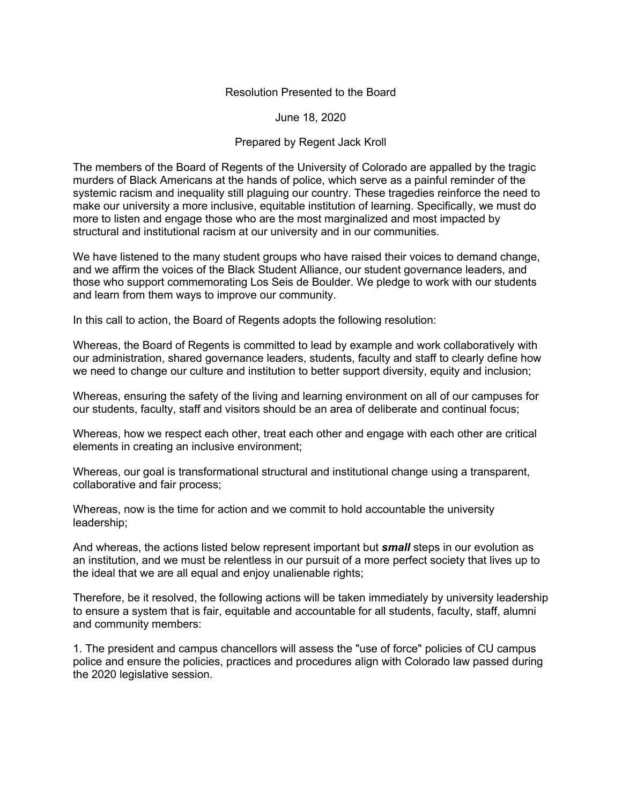## Resolution Presented to the Board

June 18, 2020

## Prepared by Regent Jack Kroll

The members of the Board of Regents of the University of Colorado are appalled by the tragic murders of Black Americans at the hands of police, which serve as a painful reminder of the systemic racism and inequality still plaguing our country. These tragedies reinforce the need to make our university a more inclusive, equitable institution of learning. Specifically, we must do more to listen and engage those who are the most marginalized and most impacted by structural and institutional racism at our university and in our communities.

We have listened to the many student groups who have raised their voices to demand change, and we affirm the voices of the Black Student Alliance, our student governance leaders, and those who support commemorating Los Seis de Boulder. We pledge to work with our students and learn from them ways to improve our community.

In this call to action, the Board of Regents adopts the following resolution:

Whereas, the Board of Regents is committed to lead by example and work collaboratively with our administration, shared governance leaders, students, faculty and staff to clearly define how we need to change our culture and institution to better support diversity, equity and inclusion;

Whereas, ensuring the safety of the living and learning environment on all of our campuses for our students, faculty, staff and visitors should be an area of deliberate and continual focus;

Whereas, how we respect each other, treat each other and engage with each other are critical elements in creating an inclusive environment;

Whereas, our goal is transformational structural and institutional change using a transparent, collaborative and fair process;

Whereas, now is the time for action and we commit to hold accountable the university leadership;

And whereas, the actions listed below represent important but *small* steps in our evolution as an institution, and we must be relentless in our pursuit of a more perfect society that lives up to the ideal that we are all equal and enjoy unalienable rights;

Therefore, be it resolved, the following actions will be taken immediately by university leadership to ensure a system that is fair, equitable and accountable for all students, faculty, staff, alumni and community members:

1. The president and campus chancellors will assess the "use of force" policies of CU campus police and ensure the policies, practices and procedures align with Colorado law passed during the 2020 legislative session.